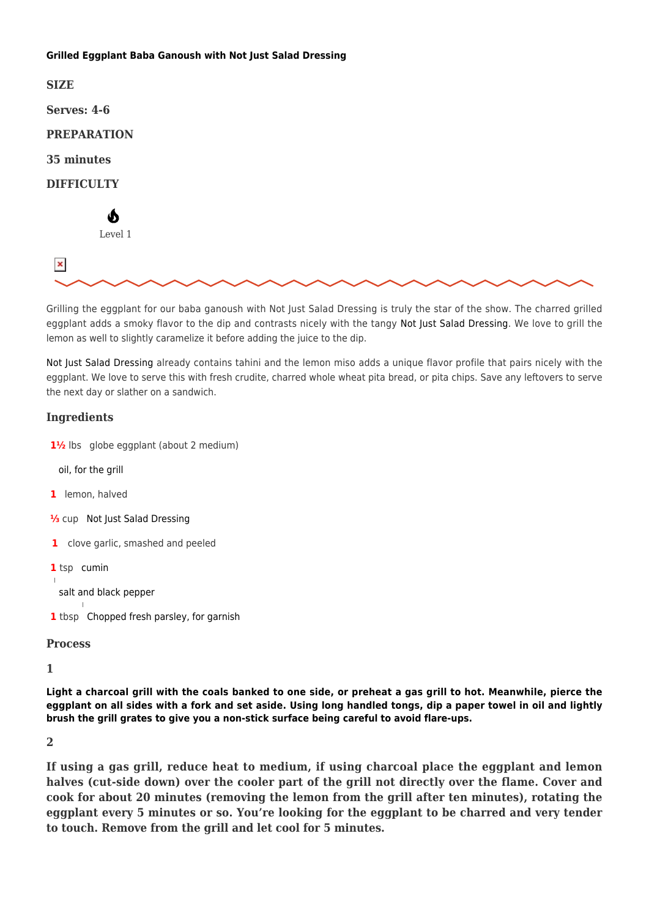## **[Grilled Eggplant Baba Ganoush with Not Just Salad Dressing](https://afoodblog.notjust.co/2022/05/10/grilled-eggplant-baba-ganoush-with-not-just-salad-dressing/)**



Grilling the eggplant for our baba ganoush with Not Just Salad Dressing is truly the star of the show. The charred grilled eggplant adds a smoky flavor to the dip and contrasts nicely with the tangy [Not Just Salad Dressing](https://notjust.co/products/not-just-salad-dressing-3-pack). We love to grill the lemon as well to slightly caramelize it before adding the juice to the dip.

[Not Just Salad Dressing](https://notjust.co/products/not-just-salad-dressing-3-pack) already contains tahini and the lemon miso adds a unique flavor profile that pairs nicely with the eggplant. We love to serve this with fresh crudite, charred whole wheat pita bread, or pita chips. Save any leftovers to serve the next day or slather on a sandwich.

## **Ingredients**

1<sup>1</sup>/<sub>2</sub> lbs globe eggplant (about 2 medium)

[oil, for the grill](https://notjust.co/products/not-just-pasta-sauce?variant=31482920271934)

- **1** lemon, halved
- **⅓** cup [Not Just Salad Dressing](https://notjust.co/products/not-just-salad-dressing-3-pack)
- **1** clove garlic, smashed and peeled
- **1** tsp [cumin](https://notjust.co/products/not-just-pasta-sauce?variant=31482920271934)

[salt and black pepper](https://notjust.co/products/not-just-pasta-sauce?variant=31482920271934)

**1** tbsp [Chopped fresh parsley, for garnish](https://notjust.co/products/not-just-pasta-sauce?variant=31482920271934)

## **Process**

**1**

 $\mathbf{I}$ 

**[Light a charcoal grill with the coals banked to one side, or preheat a gas grill to hot. Meanwhile, pierce the](https://notjust.co/products/not-just-salad-dressing-3-pack) [eggplant on all sides with a fork and set aside. Using long handled tongs, dip a paper towel in oil and lightly](https://notjust.co/products/not-just-salad-dressing-3-pack) [brush the grill grates to give you a non-stick surface being careful to avoid flare-ups.](https://notjust.co/products/not-just-salad-dressing-3-pack)**

**2**

**If using a gas grill, reduce heat to medium, if using charcoal place the eggplant and lemon halves (cut-side down) over the cooler part of the grill not directly over the flame. Cover and cook for about 20 minutes (removing the lemon from the grill after ten minutes), rotating the eggplant every 5 minutes or so. You're looking for the eggplant to be charred and very tender to touch. Remove from the grill and let cool for 5 minutes.**